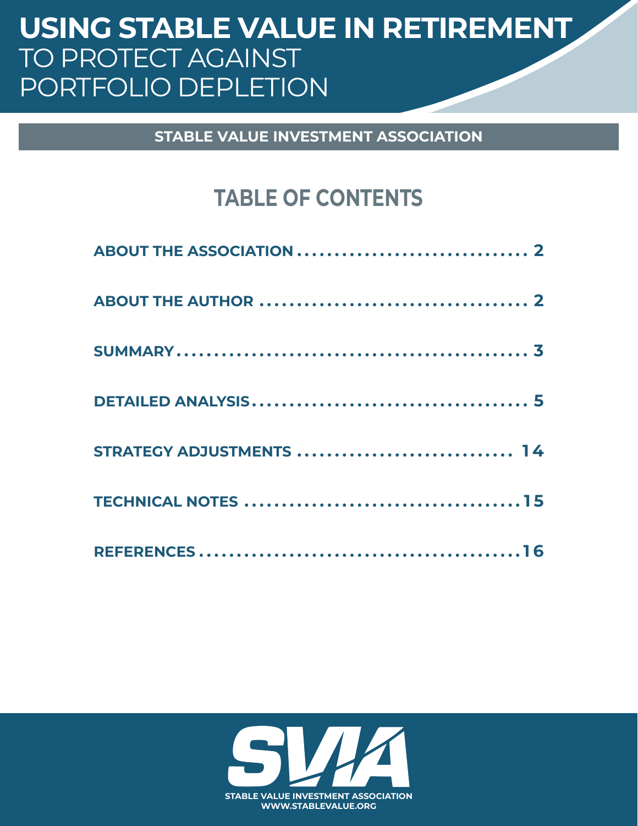# USING STABLE VALUE IN RETIREMENT TO PROTECT AGAINST PORTFOLIO DEPLETION

**STABLE VALUE INVESTMENT ASSOCIATION** 

# **TABLE OF CONTENTS**

| STRATEGY ADJUSTMENTS  14 |  |
|--------------------------|--|
|                          |  |
|                          |  |

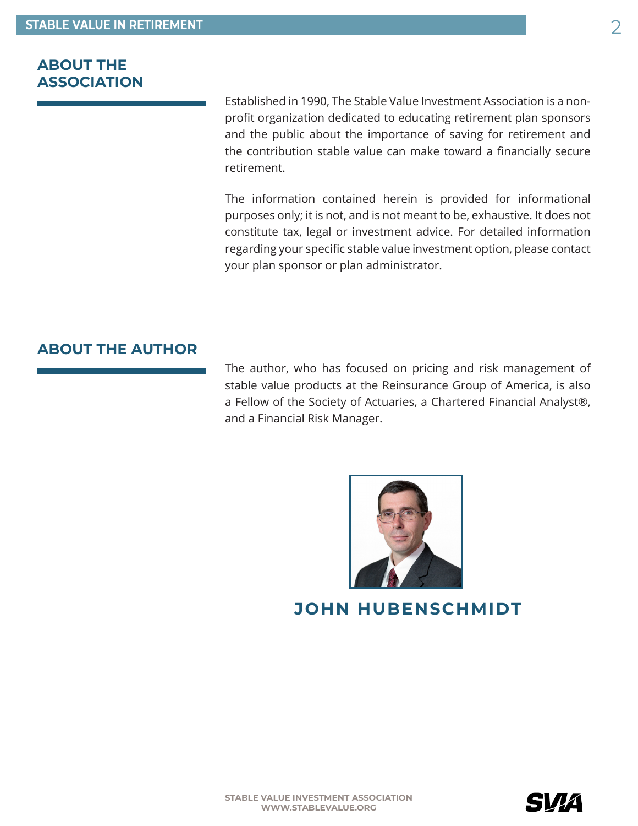## <span id="page-1-0"></span>**ABOUT THE ASSOCIATION**

Established in 1990, The Stable Value Investment Association is a nonprofit organization dedicated to educating retirement plan sponsors and the public about the importance of saving for retirement and the contribution stable value can make toward a financially secure retirement.

The information contained herein is provided for informational purposes only; it is not, and is not meant to be, exhaustive. It does not constitute tax, legal or investment advice. For detailed information regarding your specific stable value investment option, please contact your plan sponsor or plan administrator.

## **ABOUT THE AUTHOR**

The author, who has focused on pricing and risk management of stable value products at the Reinsurance Group of America, is also a Fellow of the Society of Actuaries, a Chartered Financial Analyst®, and a Financial Risk Manager.



## **JOHN HUBENSCHMIDT**

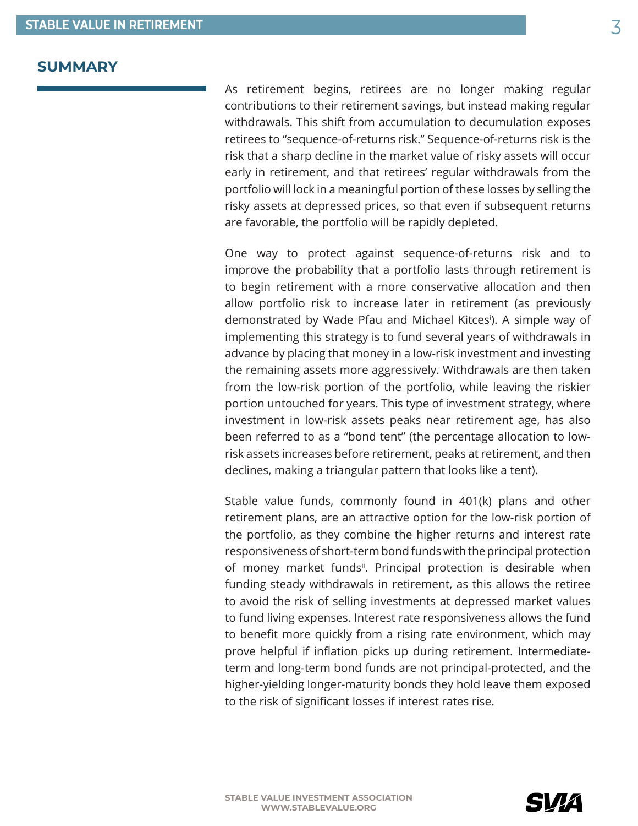#### <span id="page-2-0"></span>**SUMMARY**

As retirement begins, retirees are no longer making regular contributions to their retirement savings, but instead making regular withdrawals. This shift from accumulation to decumulation exposes retirees to "sequence-of-returns risk." Sequence-of-returns risk is the risk that a sharp decline in the market value of risky assets will occur early in retirement, and that retirees' regular withdrawals from the portfolio will lock in a meaningful portion of these losses by selling the risky assets at depressed prices, so that even if subsequent returns are favorable, the portfolio will be rapidly depleted.

One way to protect against sequence-of-returns risk and to improve the probability that a portfolio lasts through retirement is to begin retirement with a more conservative allocation and then allow portfolio risk to increase later in retirement (as previously demonstrated by Wade Pfau and Michael Kitces[i](#page-15-0) ). A simple way of implementing this strategy is to fund several years of withdrawals in advance by placing that money in a low-risk investment and investing the remaining assets more aggressively. Withdrawals are then taken from the low-risk portion of the portfolio, while leaving the riskier portion untouched for years. This type of investment strategy, where investment in low-risk assets peaks near retirement age, has also been referred to as a "bond tent" (the percentage allocation to lowrisk assets increases before retirement, peaks at retirement, and then declines, making a triangular pattern that looks like a tent).

Stable value funds, commonly found in 401(k) plans and other retirement plans, are an attractive option for the low-risk portion of the portfolio, as they combine the higher returns and interest rate responsiveness of short-term bond funds with the principal protection of money market fundsi<sup>i</sup>. Principal protection is desirable when funding steady withdrawals in retirement, as this allows the retiree to avoid the risk of selling investments at depressed market values to fund living expenses. Interest rate responsiveness allows the fund to benefit more quickly from a rising rate environment, which may prove helpful if inflation picks up during retirement. Intermediateterm and long-term bond funds are not principal-protected, and the higher-yielding longer-maturity bonds they hold leave them exposed to the risk of significant losses if interest rates rise.

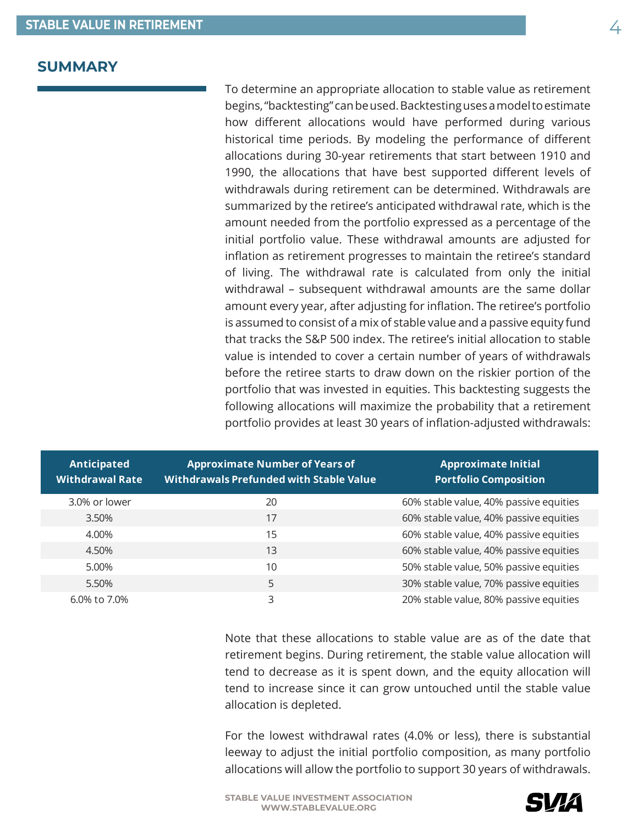#### **SUMMARY**

To determine an appropriate allocation to stable value as retirement begins, "backtesting" can be used. Backtesting uses a model to estimate how different allocations would have performed during various historical time periods. By modeling the performance of different allocations during 30-year retirements that start between 1910 and 1990, the allocations that have best supported different levels of withdrawals during retirement can be determined. Withdrawals are summarized by the retiree's anticipated withdrawal rate, which is the amount needed from the portfolio expressed as a percentage of the initial portfolio value. These withdrawal amounts are adjusted for inflation as retirement progresses to maintain the retiree's standard of living. The withdrawal rate is calculated from only the initial withdrawal – subsequent withdrawal amounts are the same dollar amount every year, after adjusting for inflation. The retiree's portfolio is assumed to consist of a mix of stable value and a passive equity fund that tracks the S&P 500 index. The retiree's initial allocation to stable value is intended to cover a certain number of years of withdrawals before the retiree starts to draw down on the riskier portion of the portfolio that was invested in equities. This backtesting suggests the following allocations will maximize the probability that a retirement portfolio provides at least 30 years of inflation-adjusted withdrawals:

| Anticipated<br><b>Withdrawal Rate</b> | <b>Approximate Number of Years of</b><br><b>Withdrawals Prefunded with Stable Value</b> | <b>Approximate Initial</b><br><b>Portfolio Composition</b> |
|---------------------------------------|-----------------------------------------------------------------------------------------|------------------------------------------------------------|
| 3.0% or lower                         | 20                                                                                      | 60% stable value, 40% passive equities                     |
| 3.50%                                 | 17                                                                                      | 60% stable value, 40% passive equities                     |
| 4.00%                                 | 15                                                                                      | 60% stable value, 40% passive equities                     |
| 4.50%                                 | 13                                                                                      | 60% stable value, 40% passive equities                     |
| 5.00%                                 | 10                                                                                      | 50% stable value, 50% passive equities                     |
| 5.50%                                 | 5                                                                                       | 30% stable value, 70% passive equities                     |
| 6.0% to 7.0%                          | 3                                                                                       | 20% stable value, 80% passive equities                     |

Note that these allocations to stable value are as of the date that retirement begins. During retirement, the stable value allocation will tend to decrease as it is spent down, and the equity allocation will tend to increase since it can grow untouched until the stable value allocation is depleted.

For the lowest withdrawal rates (4.0% or less), there is substantial leeway to adjust the initial portfolio composition, as many portfolio allocations will allow the portfolio to support 30 years of withdrawals.

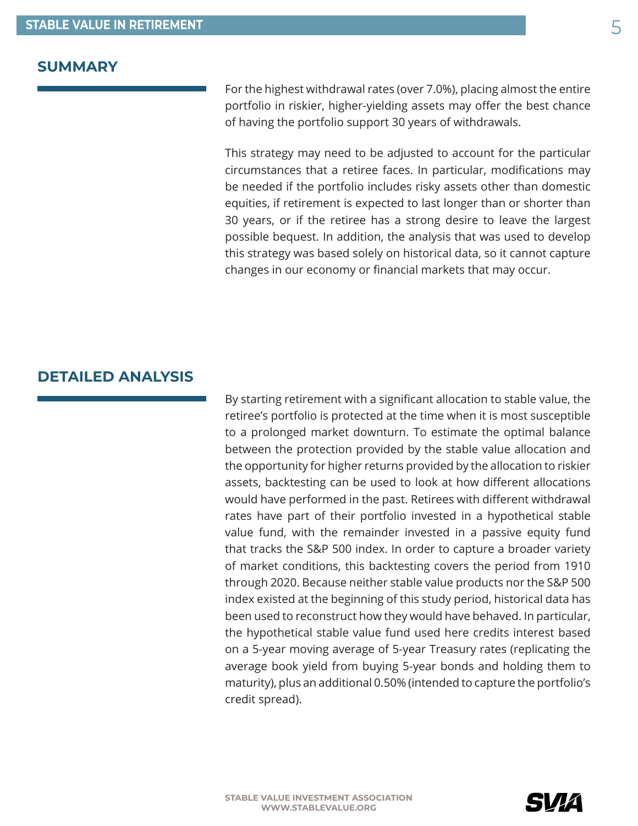#### <span id="page-4-0"></span>**SUMMARY**

For the highest withdrawal rates (over 7.0%), placing almost the entire portfolio in riskier, higher-yielding assets may offer the best chance of having the portfolio support 30 years of withdrawals.

This strategy may need to be adjusted to account for the particular circumstances that a retiree faces. In particular, modifications may be needed if the portfolio includes risky assets other than domestic equities, if retirement is expected to last longer than or shorter than 30 years, or if the retiree has a strong desire to leave the largest possible bequest. In addition, the analysis that was used to develop this strategy was based solely on historical data, so it cannot capture changes in our economy or financial markets that may occur.

## **DETAILED ANALYSIS**

By starting retirement with a significant allocation to stable value, the retiree's portfolio is protected at the time when it is most susceptible to a prolonged market downturn. To estimate the optimal balance between the protection provided by the stable value allocation and the opportunity for higher returns provided by the allocation to riskier assets, backtesting can be used to look at how different allocations would have performed in the past. Retirees with different withdrawal rates have part of their portfolio invested in a hypothetical stable value fund, with the remainder invested in a passive equity fund that tracks the S&P 500 index. In order to capture a broader variety of market conditions, this backtesting covers the period from 1910 through 2020. Because neither stable value products nor the S&P 500 index existed at the beginning of this study period, historical data has been used to reconstruct how they would have behaved. In particular, the hypothetical stable value fund used here credits interest based on a 5-year moving average of 5-year Treasury rates (replicating the average book yield from buying 5-year bonds and holding them to maturity), plus an additional 0.50% (intended to capture the portfolio's credit spread).

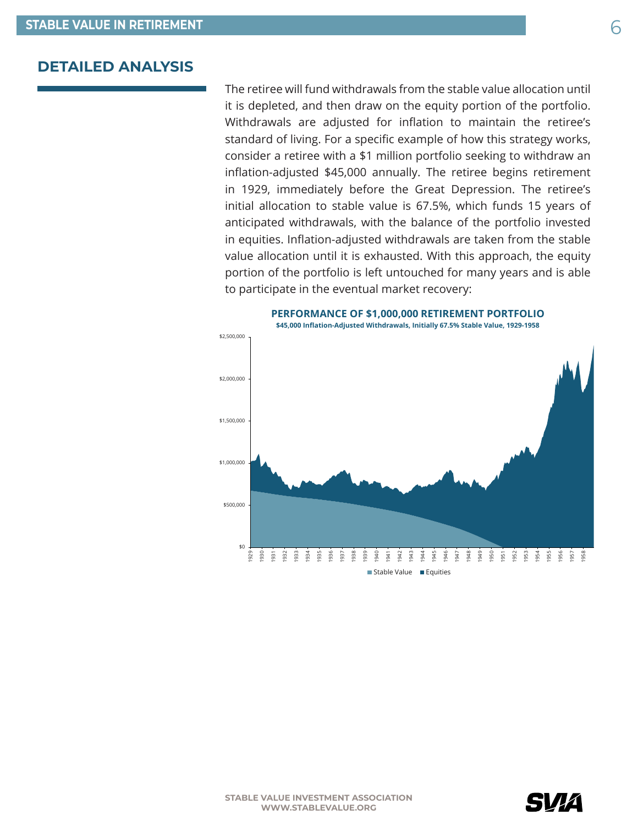The retiree will fund withdrawals from the stable value allocation until it is depleted, and then draw on the equity portion of the portfolio. Withdrawals are adjusted for inflation to maintain the retiree's standard of living. For a specific example of how this strategy works, consider a retiree with a \$1 million portfolio seeking to withdraw an inflation-adjusted \$45,000 annually. The retiree begins retirement in 1929, immediately before the Great Depression. The retiree's initial allocation to stable value is 67.5%, which funds 15 years of anticipated withdrawals, with the balance of the portfolio invested in equities. Inflation-adjusted withdrawals are taken from the stable value allocation until it is exhausted. With this approach, the equity portion of the portfolio is left untouched for many years and is able to participate in the eventual market recovery:



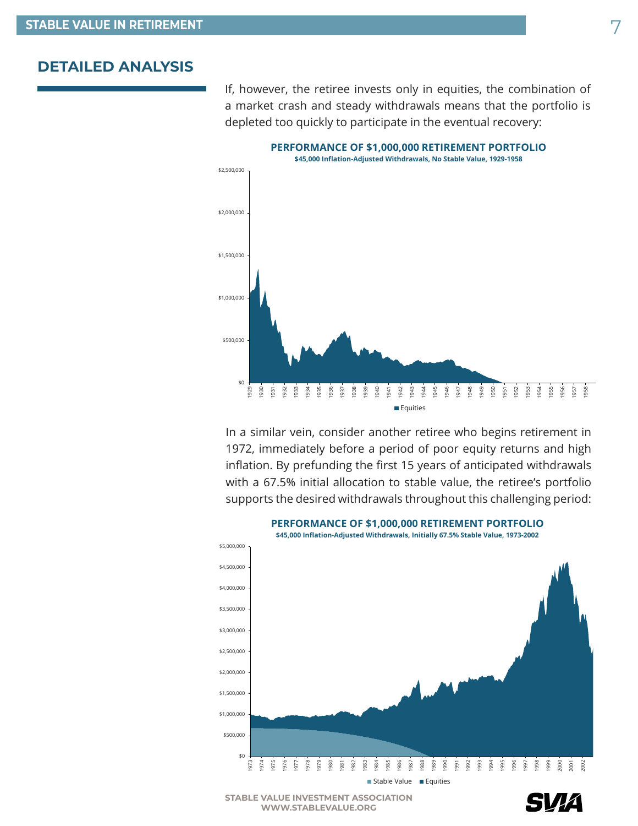If, however, the retiree invests only in equities, the combination of a market crash and steady withdrawals means that the portfolio is depleted too quickly to participate in the eventual recovery:



In a similar vein, consider another retiree who begins retirement in 1972, immediately before a period of poor equity returns and high inflation. By prefunding the first 15 years of anticipated withdrawals with a 67.5% initial allocation to stable value, the retiree's portfolio supports the desired withdrawals throughout this challenging period:



**STABLE VALUE INVESTMENT ASSOCIATION WWW.STABLEVALUE.ORG**

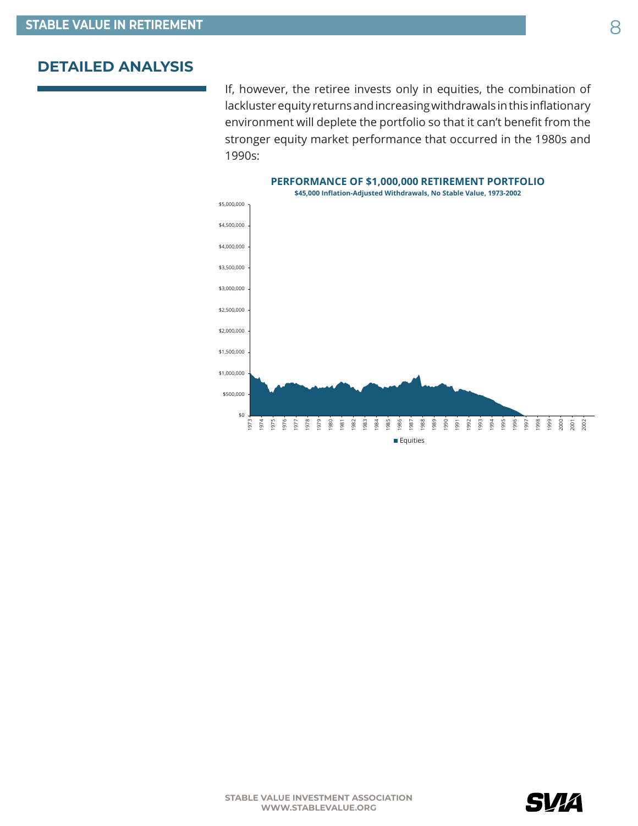If, however, the retiree invests only in equities, the combination of lackluster equity returns and increasing withdrawals in this inflationary environment will deplete the portfolio so that it can't benefit from the stronger equity market performance that occurred in the 1980s and 1990s:



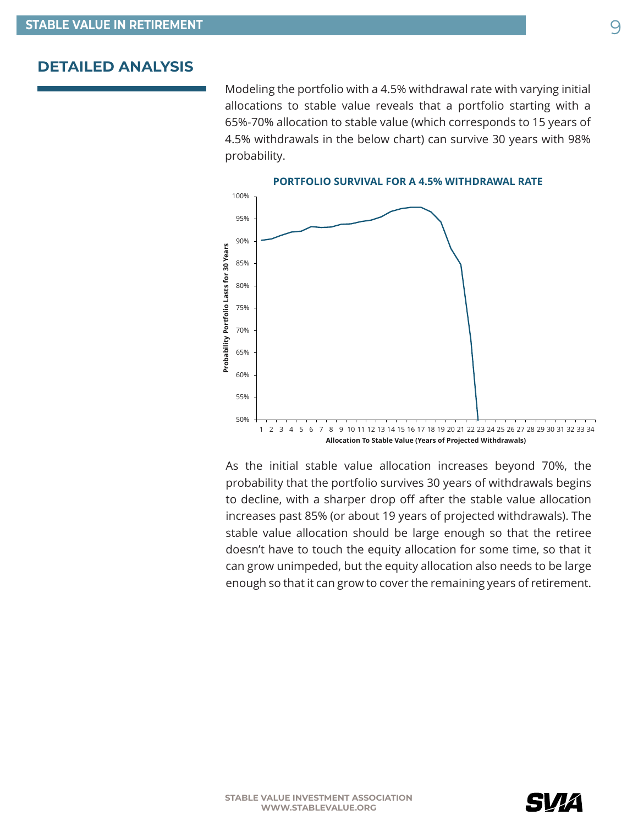Modeling the portfolio with a 4.5% withdrawal rate with varying initial allocations to stable value reveals that a portfolio starting with a 65%-70% allocation to stable value (which corresponds to 15 years of 4.5% withdrawals in the below chart) can survive 30 years with 98% probability.



As the initial stable value allocation increases beyond 70%, the probability that the portfolio survives 30 years of withdrawals begins to decline, with a sharper drop off after the stable value allocation increases past 85% (or about 19 years of projected withdrawals). The stable value allocation should be large enough so that the retiree doesn't have to touch the equity allocation for some time, so that it can grow unimpeded, but the equity allocation also needs to be large enough so that it can grow to cover the remaining years of retirement.

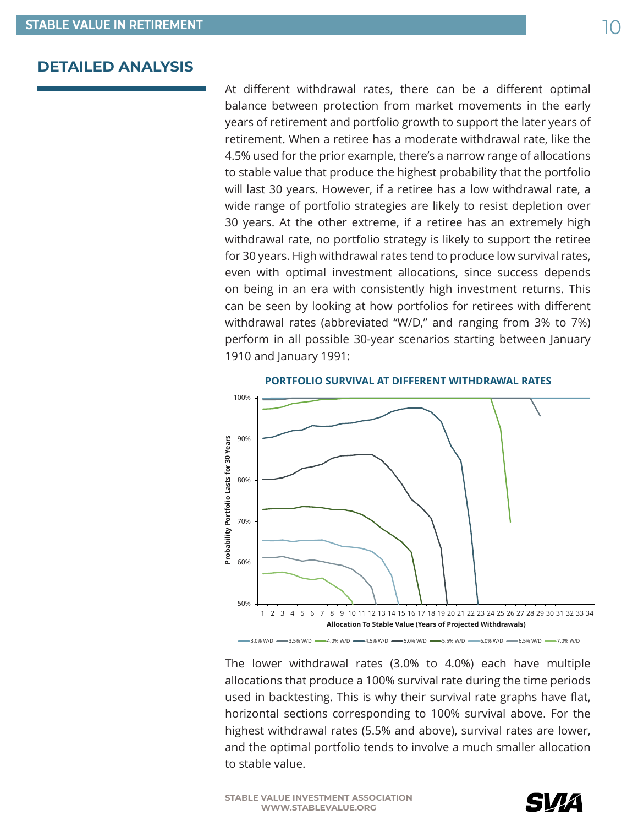At different withdrawal rates, there can be a different optimal balance between protection from market movements in the early years of retirement and portfolio growth to support the later years of retirement. When a retiree has a moderate withdrawal rate, like the 4.5% used for the prior example, there's a narrow range of allocations to stable value that produce the highest probability that the portfolio will last 30 years. However, if a retiree has a low withdrawal rate, a wide range of portfolio strategies are likely to resist depletion over 30 years. At the other extreme, if a retiree has an extremely high withdrawal rate, no portfolio strategy is likely to support the retiree for 30 years. High withdrawal rates tend to produce low survival rates, even with optimal investment allocations, since success depends on being in an era with consistently high investment returns. This can be seen by looking at how portfolios for retirees with different withdrawal rates (abbreviated "W/D," and ranging from 3% to 7%) perform in all possible 30-year scenarios starting between January 1910 and January 1991:



The lower withdrawal rates (3.0% to 4.0%) each have multiple allocations that produce a 100% survival rate during the time periods used in backtesting. This is why their survival rate graphs have flat, horizontal sections corresponding to 100% survival above. For the highest withdrawal rates (5.5% and above), survival rates are lower, and the optimal portfolio tends to involve a much smaller allocation to stable value.

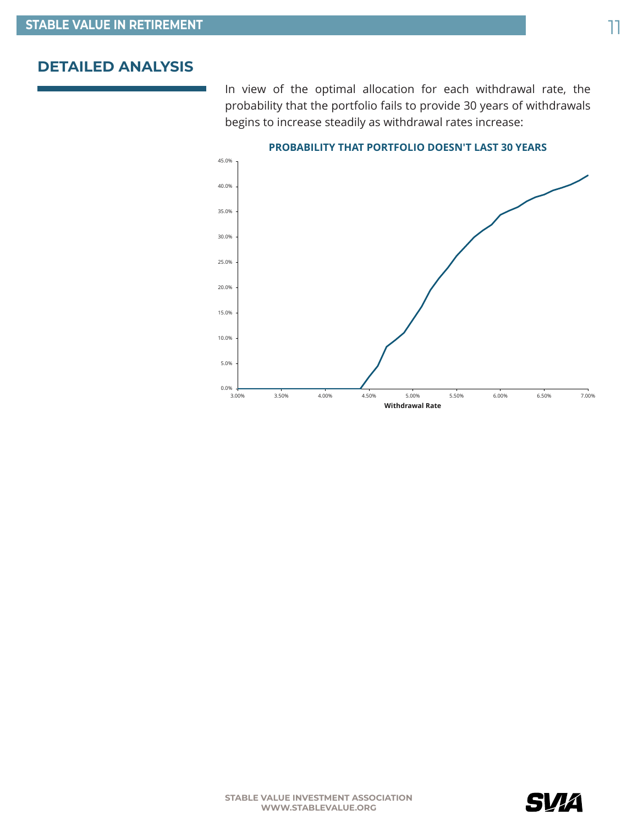In view of the optimal allocation for each withdrawal rate, the probability that the portfolio fails to provide 30 years of withdrawals begins to increase steadily as withdrawal rates increase:



#### **PROBABILITY THAT PORTFOLIO DOESN'T LAST 30 YEARS**

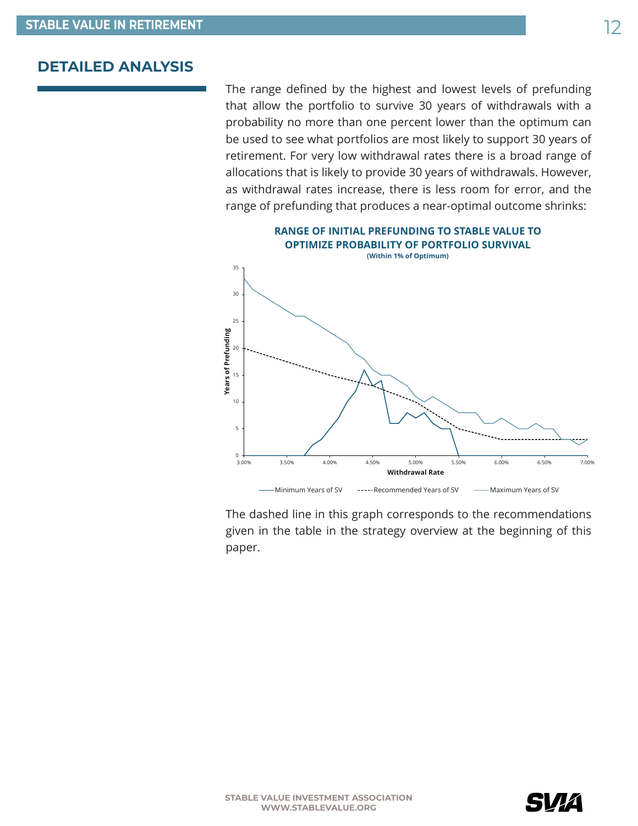The range defined by the highest and lowest levels of prefunding that allow the portfolio to survive 30 years of withdrawals with a probability no more than one percent lower than the optimum can be used to see what portfolios are most likely to support 30 years of retirement. For very low withdrawal rates there is a broad range of allocations that is likely to provide 30 years of withdrawals. However, as withdrawal rates increase, there is less room for error, and the range of prefunding that produces a near-optimal outcome shrinks:



The dashed line in this graph corresponds to the recommendations given in the table in the strategy overview at the beginning of this paper.

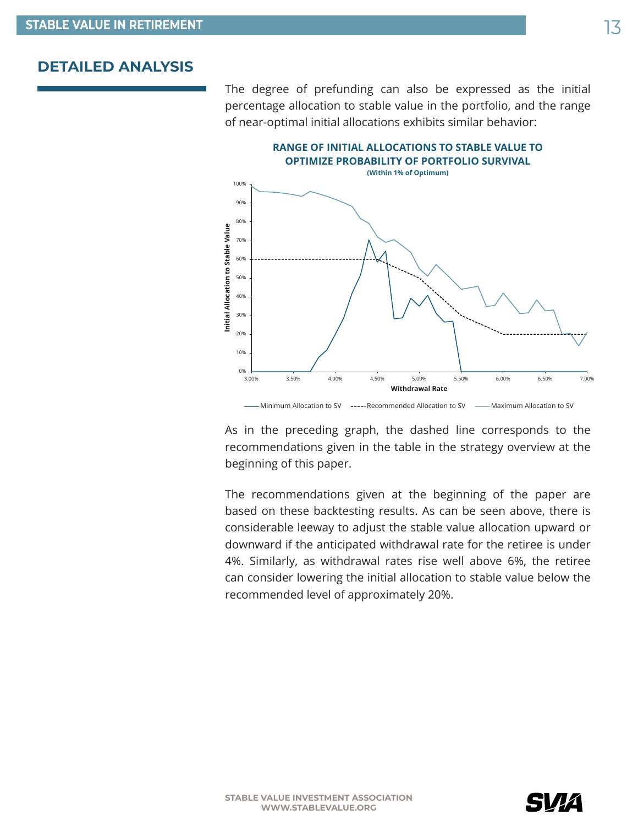The degree of prefunding can also be expressed as the initial percentage allocation to stable value in the portfolio, and the range of near-optimal initial allocations exhibits similar behavior:



As in the preceding graph, the dashed line corresponds to the recommendations given in the table in the strategy overview at the beginning of this paper.

The recommendations given at the beginning of the paper are based on these backtesting results. As can be seen above, there is considerable leeway to adjust the stable value allocation upward or downward if the anticipated withdrawal rate for the retiree is under 4%. Similarly, as withdrawal rates rise well above 6%, the retiree can consider lowering the initial allocation to stable value below the recommended level of approximately 20%.

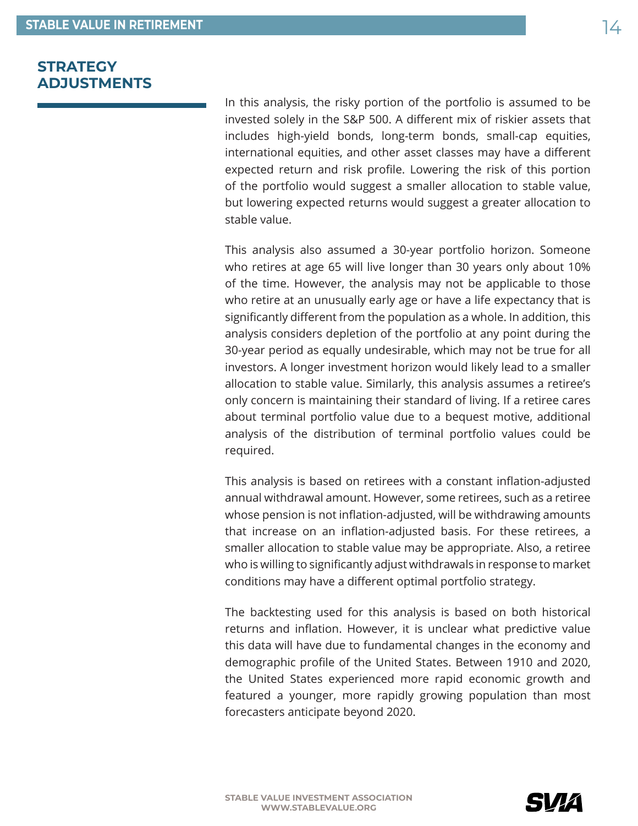## <span id="page-13-0"></span>**STRATEGY ADJUSTMENTS**

In this analysis, the risky portion of the portfolio is assumed to be invested solely in the S&P 500. A different mix of riskier assets that includes high-yield bonds, long-term bonds, small-cap equities, international equities, and other asset classes may have a different expected return and risk profile. Lowering the risk of this portion of the portfolio would suggest a smaller allocation to stable value, but lowering expected returns would suggest a greater allocation to stable value.

This analysis also assumed a 30-year portfolio horizon. Someone who retires at age 65 will live longer than 30 years only about 10% of the time. However, the analysis may not be applicable to those who retire at an unusually early age or have a life expectancy that is significantly different from the population as a whole. In addition, this analysis considers depletion of the portfolio at any point during the 30-year period as equally undesirable, which may not be true for all investors. A longer investment horizon would likely lead to a smaller allocation to stable value. Similarly, this analysis assumes a retiree's only concern is maintaining their standard of living. If a retiree cares about terminal portfolio value due to a bequest motive, additional analysis of the distribution of terminal portfolio values could be required.

This analysis is based on retirees with a constant inflation-adjusted annual withdrawal amount. However, some retirees, such as a retiree whose pension is not inflation-adjusted, will be withdrawing amounts that increase on an inflation-adjusted basis. For these retirees, a smaller allocation to stable value may be appropriate. Also, a retiree who is willing to significantly adjust withdrawals in response to market conditions may have a different optimal portfolio strategy.

The backtesting used for this analysis is based on both historical returns and inflation. However, it is unclear what predictive value this data will have due to fundamental changes in the economy and demographic profile of the United States. Between 1910 and 2020, the United States experienced more rapid economic growth and featured a younger, more rapidly growing population than most forecasters anticipate beyond 2020.

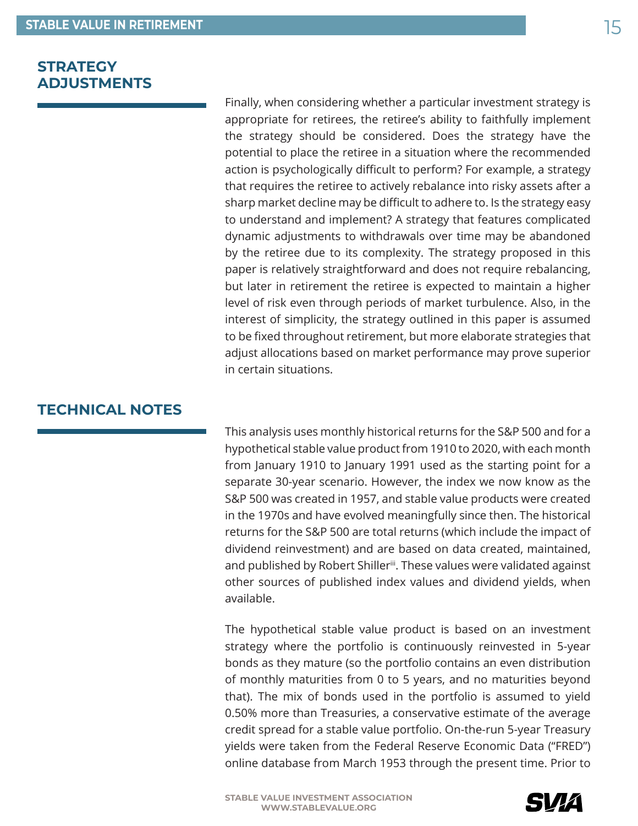## <span id="page-14-0"></span>**STRATEGY ADJUSTMENTS**

Finally, when considering whether a particular investment strategy is appropriate for retirees, the retiree's ability to faithfully implement the strategy should be considered. Does the strategy have the potential to place the retiree in a situation where the recommended action is psychologically difficult to perform? For example, a strategy that requires the retiree to actively rebalance into risky assets after a sharp market decline may be difficult to adhere to. Is the strategy easy to understand and implement? A strategy that features complicated dynamic adjustments to withdrawals over time may be abandoned by the retiree due to its complexity. The strategy proposed in this paper is relatively straightforward and does not require rebalancing, but later in retirement the retiree is expected to maintain a higher level of risk even through periods of market turbulence. Also, in the interest of simplicity, the strategy outlined in this paper is assumed to be fixed throughout retirement, but more elaborate strategies that adjust allocations based on market performance may prove superior in certain situations.

## **TECHNICAL NOTES**

This analysis uses monthly historical returns for the S&P 500 and for a hypothetical stable value product from 1910 to 2020, with each month from January 1910 to January 1991 used as the starting point for a separate 30-year scenario. However, the index we now know as the S&P 500 was created in 1957, and stable value products were created in the 1970s and have evolved meaningfully since then. The historical returns for the S&P 500 are total returns (which include the impact of dividend reinvestment) and are based on data created, maintained, and published by Robert Shiller[iii](#page-15-0). These values were validated against other sources of published index values and dividend yields, when available.

The hypothetical stable value product is based on an investment strategy where the portfolio is continuously reinvested in 5-year bonds as they mature (so the portfolio contains an even distribution of monthly maturities from 0 to 5 years, and no maturities beyond that). The mix of bonds used in the portfolio is assumed to yield 0.50% more than Treasuries, a conservative estimate of the average credit spread for a stable value portfolio. On-the-run 5-year Treasury yields were taken from the Federal Reserve Economic Data ("FRED") online database from March 1953 through the present time. Prior to